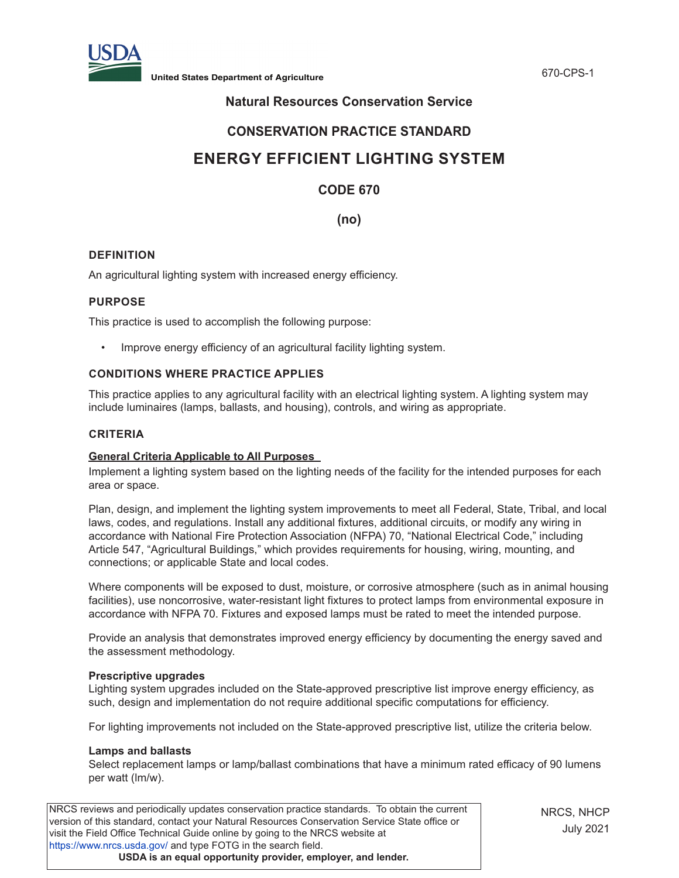

## **Natural Resources Conservation Service**

## **CONSERVATION PRACTICE STANDARD**

# **ENERGY EFFICIENT LIGHTING SYSTEM**

## **CODE 670**

**(no)**

#### **DEFINITION**

An agricultural lighting system with increased energy efficiency.

#### **PURPOSE**

This practice is used to accomplish the following purpose:

• Improve energy efficiency of an agricultural facility lighting system.

#### **CONDITIONS WHERE PRACTICE APPLIES**

This practice applies to any agricultural facility with an electrical lighting system. A lighting system may include luminaires (lamps, ballasts, and housing), controls, and wiring as appropriate.

#### **CRITERIA**

#### **General Criteria Applicable to All Purposes**

Implement a lighting system based on the lighting needs of the facility for the intended purposes for each area or space.

Plan, design, and implement the lighting system improvements to meet all Federal, State, Tribal, and local laws, codes, and regulations. Install any additional fixtures, additional circuits, or modify any wiring in accordance with National Fire Protection Association (NFPA) 70, "National Electrical Code," including Article 547, "Agricultural Buildings," which provides requirements for housing, wiring, mounting, and connections; or applicable State and local codes.

Where components will be exposed to dust, moisture, or corrosive atmosphere (such as in animal housing facilities), use noncorrosive, water-resistant light fixtures to protect lamps from environmental exposure in accordance with NFPA 70. Fixtures and exposed lamps must be rated to meet the intended purpose.

Provide an analysis that demonstrates improved energy efficiency by documenting the energy saved and the assessment methodology.

#### **Prescriptive upgrades**

Lighting system upgrades included on the State-approved prescriptive list improve energy efficiency, as such, design and implementation do not require additional specific computations for efficiency.

For lighting improvements not included on the State-approved prescriptive list, utilize the criteria below.

#### **Lamps and ballasts**

Select replacement lamps or lamp/ballast combinations that have a minimum rated efficacy of 90 lumens per watt (lm/w).

NRCS reviews and periodically updates conservation practice standards. To obtain the current version of this standard, contact your Natural Resources Conservation Service State office or visit the Field Office Technical Guide online by going to the NRCS website at https://www.nrcs.usda.gov/ and type FOTG in the search field. **USDA is an equal opportunity provider, employer, and lender.**

NRCS, NHCP July 2021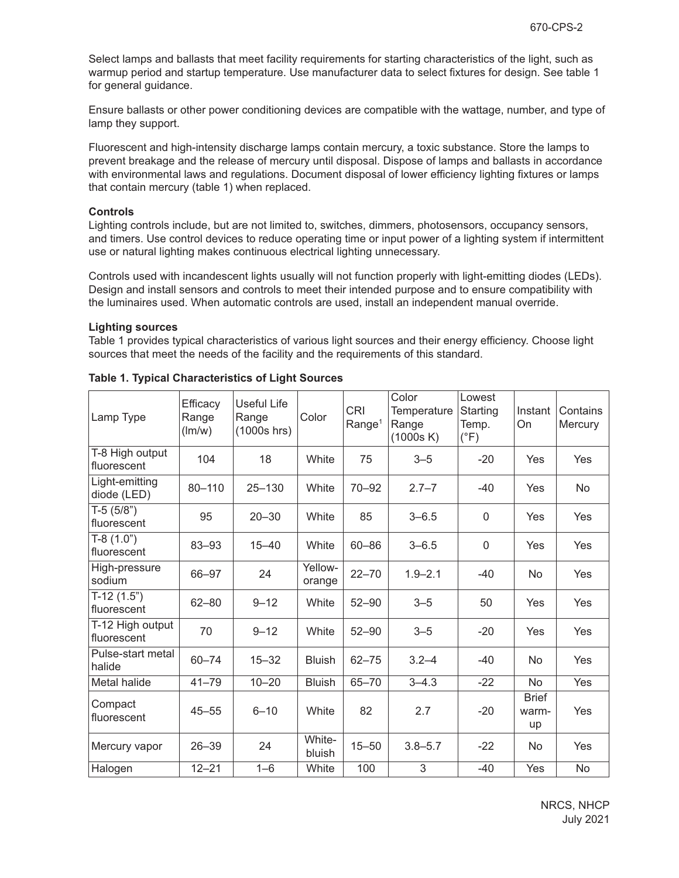Select lamps and ballasts that meet facility requirements for starting characteristics of the light, such as warmup period and startup temperature. Use manufacturer data to select fixtures for design. See table 1 for general guidance.

Ensure ballasts or other power conditioning devices are compatible with the wattage, number, and type of lamp they support.

Fluorescent and high-intensity discharge lamps contain mercury, a toxic substance. Store the lamps to prevent breakage and the release of mercury until disposal. Dispose of lamps and ballasts in accordance with environmental laws and regulations. Document disposal of lower efficiency lighting fixtures or lamps that contain mercury (table 1) when replaced.

#### **Controls**

Lighting controls include, but are not limited to, switches, dimmers, photosensors, occupancy sensors, and timers. Use control devices to reduce operating time or input power of a lighting system if intermittent use or natural lighting makes continuous electrical lighting unnecessary.

Controls used with incandescent lights usually will not function properly with light-emitting diodes (LEDs). Design and install sensors and controls to meet their intended purpose and to ensure compatibility with the luminaires used. When automatic controls are used, install an independent manual override.

#### **Lighting sources**

Table 1 provides typical characteristics of various light sources and their energy efficiency. Choose light sources that meet the needs of the facility and the requirements of this standard.

| Lamp Type                       | Efficacy<br>Range<br>(lm/w) | Useful Life<br>Range<br>$(1000s$ hrs) | Color             | <b>CRI</b><br>Range <sup>1</sup> | Color<br>Temperature<br>Range<br>(1000s K) | Lowest<br>Starting<br>Temp.<br>$(^{\circ}F)$ | Instant<br>On               | Contains<br>Mercury |
|---------------------------------|-----------------------------|---------------------------------------|-------------------|----------------------------------|--------------------------------------------|----------------------------------------------|-----------------------------|---------------------|
| T-8 High output<br>fluorescent  | 104                         | 18                                    | White             | 75                               | $3 - 5$                                    | $-20$                                        | Yes                         | <b>Yes</b>          |
| Light-emitting<br>diode (LED)   | 80-110                      | $25 - 130$                            | White             | $70 - 92$                        | $2.7 - 7$                                  | $-40$                                        | Yes                         | No.                 |
| $T-5(5/8")$<br>fluorescent      | 95                          | $20 - 30$                             | White             | 85                               | $3 - 6.5$                                  | $\mathbf 0$                                  | Yes                         | Yes                 |
| $T-8(1.0")$<br>fluorescent      | 83-93                       | $15 - 40$                             | White             | $60 - 86$                        | $3 - 6.5$                                  | $\Omega$                                     | Yes                         | <b>Yes</b>          |
| High-pressure<br>sodium         | 66-97                       | 24                                    | Yellow-<br>orange | $22 - 70$                        | $1.9 - 2.1$                                | $-40$                                        | <b>No</b>                   | Yes                 |
| $T-12(1.5")$<br>fluorescent     | $62 - 80$                   | $9 - 12$                              | White             | $52 - 90$                        | $3 - 5$                                    | 50                                           | Yes                         | Yes                 |
| T-12 High output<br>fluorescent | 70                          | $9 - 12$                              | White             | $52 - 90$                        | $3 - 5$                                    | $-20$                                        | Yes                         | Yes                 |
| Pulse-start metal<br>halide     | $60 - 74$                   | $15 - 32$                             | <b>Bluish</b>     | $62 - 75$                        | $3.2 - 4$                                  | $-40$                                        | <b>No</b>                   | Yes                 |
| Metal halide                    | $41 - 79$                   | $10 - 20$                             | <b>Bluish</b>     | $65 - 70$                        | $3 - 4.3$                                  | $-22$                                        | No                          | Yes                 |
| Compact<br>fluorescent          | $45 - 55$                   | $6 - 10$                              | White             | 82                               | 2.7                                        | $-20$                                        | <b>Brief</b><br>warm-<br>up | <b>Yes</b>          |
| Mercury vapor                   | $26 - 39$                   | 24                                    | White-<br>bluish  | $15 - 50$                        | $3.8 - 5.7$                                | $-22$                                        | <b>No</b>                   | Yes                 |
| Halogen                         | $12 - 21$                   | $1 - 6$                               | White             | 100                              | 3                                          | $-40$                                        | Yes                         | <b>No</b>           |

**Table 1. Typical Characteristics of Light Sources**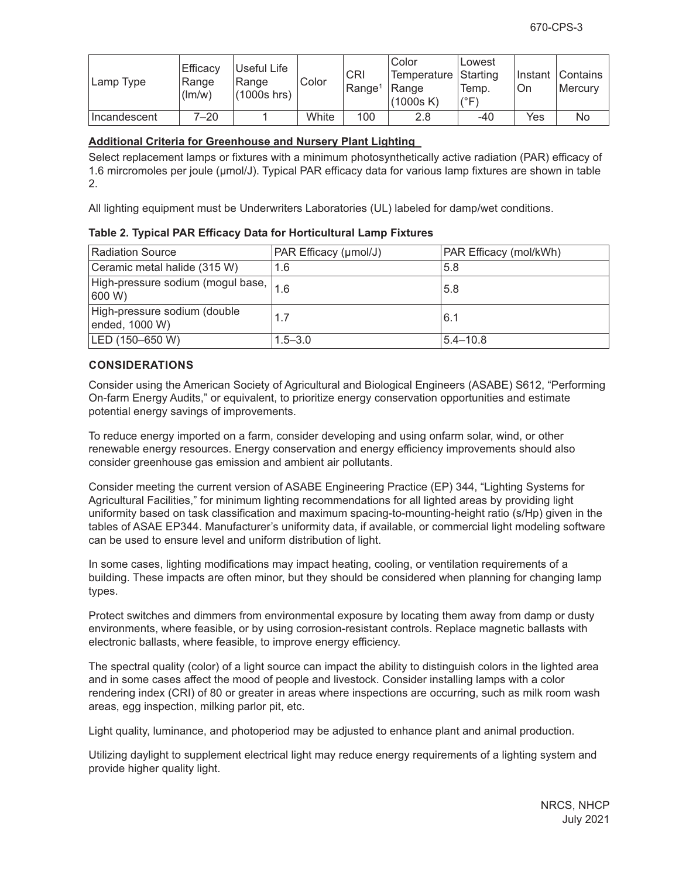| Lamp Type    | Efficacy<br>Range<br>(lm/w) | Useful Life<br>Range<br>$(1000s$ hrs) | Color | <b>CRI</b><br>Range <sup>1</sup> | Color<br>Temperature   Starting<br>Range<br>(1000s K) | Lowest<br>Temp.<br>$(^{\circ}F)$ | On  | ∏nstant ⊺Contains<br><b>Mercurv</b> |
|--------------|-----------------------------|---------------------------------------|-------|----------------------------------|-------------------------------------------------------|----------------------------------|-----|-------------------------------------|
| Incandescent | 7–20                        |                                       | White | 100                              | 2.8                                                   | -40                              | Yes | No                                  |

#### **Additional Criteria for Greenhouse and Nursery Plant Lighting**

Select replacement lamps or fixtures with a minimum photosynthetically active radiation (PAR) efficacy of 1.6 mircromoles per joule (μmol/J). Typical PAR efficacy data for various lamp fixtures are shown in table 2.

All lighting equipment must be Underwriters Laboratories (UL) labeled for damp/wet conditions.

|  | Table 2. Typical PAR Efficacy Data for Horticultural Lamp Fixtures |
|--|--------------------------------------------------------------------|
|--|--------------------------------------------------------------------|

| <b>Radiation Source</b>                                                   | PAR Efficacy (µmol/J) | PAR Efficacy (mol/kWh) |
|---------------------------------------------------------------------------|-----------------------|------------------------|
| Ceramic metal halide (315 W)                                              | 1.6                   | 5.8                    |
| $\sqrt{\text{High-pressure sodium}}$ (mogul base, $\big _{1.6}$<br>600 W) |                       | 5.8                    |
| High-pressure sodium (double<br>ended, 1000 W)                            | 1.7                   | 6.1                    |
| LED (150-650 W)                                                           | $1.5 - 3.0$           | $ 5.4 - 10.8 $         |

### **CONSIDERATIONS**

Consider using the American Society of Agricultural and Biological Engineers (ASABE) S612, "Performing On-farm Energy Audits," or equivalent, to prioritize energy conservation opportunities and estimate potential energy savings of improvements.

To reduce energy imported on a farm, consider developing and using onfarm solar, wind, or other renewable energy resources. Energy conservation and energy efficiency improvements should also consider greenhouse gas emission and ambient air pollutants.

Consider meeting the current version of ASABE Engineering Practice (EP) 344, "Lighting Systems for Agricultural Facilities," for minimum lighting recommendations for all lighted areas by providing light uniformity based on task classification and maximum spacing-to-mounting-height ratio (s/Hp) given in the tables of ASAE EP344. Manufacturer's uniformity data, if available, or commercial light modeling software can be used to ensure level and uniform distribution of light.

In some cases, lighting modifications may impact heating, cooling, or ventilation requirements of a building. These impacts are often minor, but they should be considered when planning for changing lamp types.

Protect switches and dimmers from environmental exposure by locating them away from damp or dusty environments, where feasible, or by using corrosion-resistant controls. Replace magnetic ballasts with electronic ballasts, where feasible, to improve energy efficiency.

The spectral quality (color) of a light source can impact the ability to distinguish colors in the lighted area and in some cases affect the mood of people and livestock. Consider installing lamps with a color rendering index (CRI) of 80 or greater in areas where inspections are occurring, such as milk room wash areas, egg inspection, milking parlor pit, etc.

Light quality, luminance, and photoperiod may be adjusted to enhance plant and animal production.

Utilizing daylight to supplement electrical light may reduce energy requirements of a lighting system and provide higher quality light.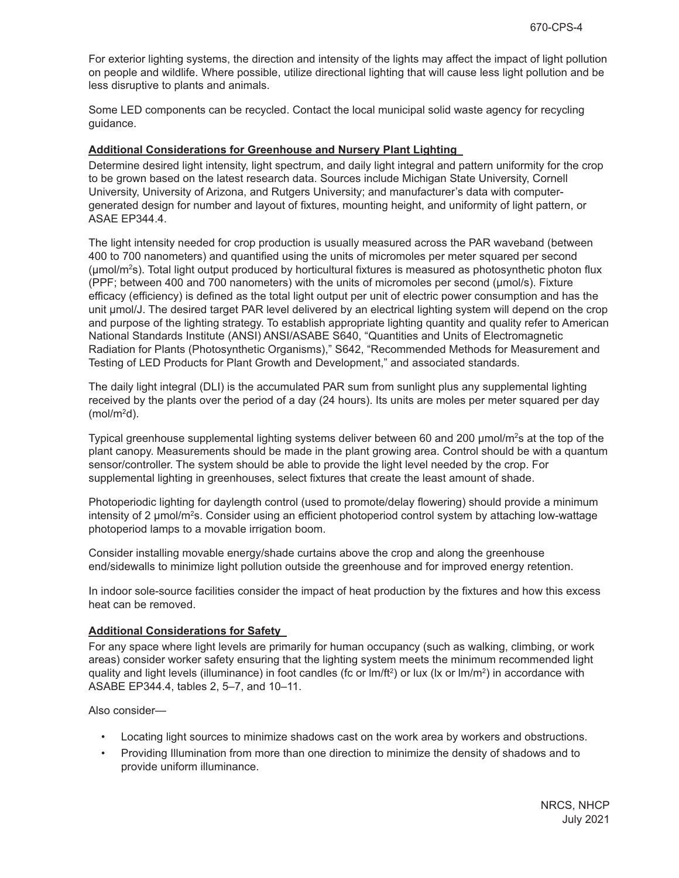For exterior lighting systems, the direction and intensity of the lights may affect the impact of light pollution on people and wildlife. Where possible, utilize directional lighting that will cause less light pollution and be less disruptive to plants and animals.

Some LED components can be recycled. Contact the local municipal solid waste agency for recycling guidance.

#### **Additional Considerations for Greenhouse and Nursery Plant Lighting**

Determine desired light intensity, light spectrum, and daily light integral and pattern uniformity for the crop to be grown based on the latest research data. Sources include Michigan State University, Cornell University, University of Arizona, and Rutgers University; and manufacturer's data with computergenerated design for number and layout of fixtures, mounting height, and uniformity of light pattern, or ASAE EP344.4.

The light intensity needed for crop production is usually measured across the PAR waveband (between 400 to 700 nanometers) and quantified using the units of micromoles per meter squared per second  $(\mu m o l/m<sup>2</sup>s)$ . Total light output produced by horticultural fixtures is measured as photosynthetic photon flux (PPF; between 400 and 700 nanometers) with the units of micromoles per second (μmol/s). Fixture efficacy (efficiency) is defined as the total light output per unit of electric power consumption and has the unit μmol/J. The desired target PAR level delivered by an electrical lighting system will depend on the crop and purpose of the lighting strategy. To establish appropriate lighting quantity and quality refer to American National Standards Institute (ANSI) ANSI/ASABE S640, "Quantities and Units of Electromagnetic Radiation for Plants (Photosynthetic Organisms)," S642, "Recommended Methods for Measurement and Testing of LED Products for Plant Growth and Development," and associated standards.

The daily light integral (DLI) is the accumulated PAR sum from sunlight plus any supplemental lighting received by the plants over the period of a day (24 hours). Its units are moles per meter squared per day  $(mol/m<sup>2</sup>d).$ 

Typical greenhouse supplemental lighting systems deliver between 60 and 200  $\mu$ mol/m<sup>2</sup>s at the top of the plant canopy. Measurements should be made in the plant growing area. Control should be with a quantum sensor/controller. The system should be able to provide the light level needed by the crop. For supplemental lighting in greenhouses, select fixtures that create the least amount of shade.

Photoperiodic lighting for daylength control (used to promote/delay flowering) should provide a minimum intensity of 2 μmol/m<sup>2</sup>s. Consider using an efficient photoperiod control system by attaching low-wattage photoperiod lamps to a movable irrigation boom.

Consider installing movable energy/shade curtains above the crop and along the greenhouse end/sidewalls to minimize light pollution outside the greenhouse and for improved energy retention.

In indoor sole-source facilities consider the impact of heat production by the fixtures and how this excess heat can be removed.

#### **Additional Considerations for Safety**

For any space where light levels are primarily for human occupancy (such as walking, climbing, or work areas) consider worker safety ensuring that the lighting system meets the minimum recommended light quality and light levels (illuminance) in foot candles (fc or  $\text{Im/ft}^2$ ) or lux (lx or  $\text{Im/mt}^2$ ) in accordance with ASABE EP344.4, tables 2, 5–7, and 10–11.

Also consider—

- Locating light sources to minimize shadows cast on the work area by workers and obstructions.
- Providing Illumination from more than one direction to minimize the density of shadows and to provide uniform illuminance.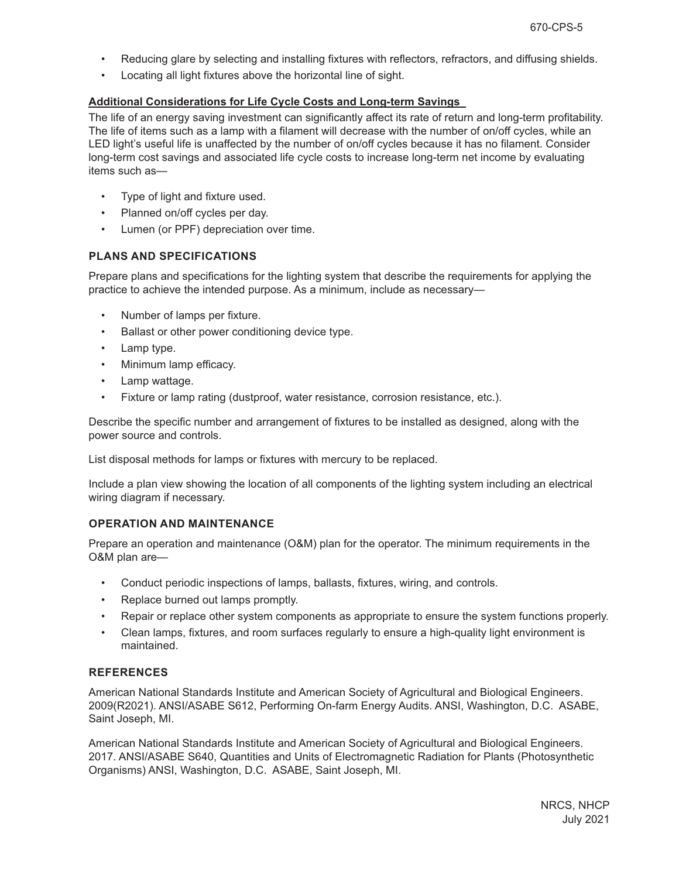- Reducing glare by selecting and installing fixtures with reflectors, refractors, and diffusing shields.
- Locating all light fixtures above the horizontal line of sight.

#### **Additional Considerations for Life Cycle Costs and Long-term Savings**

The life of an energy saving investment can significantly affect its rate of return and long-term profitability. The life of items such as a lamp with a filament will decrease with the number of on/off cycles, while an LED light's useful life is unaffected by the number of on/off cycles because it has no filament. Consider long-term cost savings and associated life cycle costs to increase long-term net income by evaluating items such as—

- Type of light and fixture used.
- Planned on/off cycles per day.
- Lumen (or PPF) depreciation over time.

#### **PLANS AND SPECIFICATIONS**

Prepare plans and specifications for the lighting system that describe the requirements for applying the practice to achieve the intended purpose. As a minimum, include as necessary—

- Number of lamps per fixture.
- Ballast or other power conditioning device type.
- Lamp type.
- Minimum lamp efficacy.
- Lamp wattage.
- Fixture or lamp rating (dustproof, water resistance, corrosion resistance, etc.).

Describe the specific number and arrangement of fixtures to be installed as designed, along with the power source and controls.

List disposal methods for lamps or fixtures with mercury to be replaced.

Include a plan view showing the location of all components of the lighting system including an electrical wiring diagram if necessary.

### **OPERATION AND MAINTENANCE**

Prepare an operation and maintenance (O&M) plan for the operator. The minimum requirements in the O&M plan are—

- Conduct periodic inspections of lamps, ballasts, fixtures, wiring, and controls.
- Replace burned out lamps promptly.
- Repair or replace other system components as appropriate to ensure the system functions properly.
- Clean lamps, fixtures, and room surfaces regularly to ensure a high-quality light environment is maintained.

#### **REFERENCES**

American National Standards Institute and American Society of Agricultural and Biological Engineers. 2009(R2021). ANSI/ASABE S612, Performing On-farm Energy Audits. ANSI, Washington, D.C. ASABE, Saint Joseph, MI.

American National Standards Institute and American Society of Agricultural and Biological Engineers. 2017. ANSI/ASABE S640, Quantities and Units of Electromagnetic Radiation for Plants (Photosynthetic Organisms) ANSI, Washington, D.C. ASABE, Saint Joseph, MI.